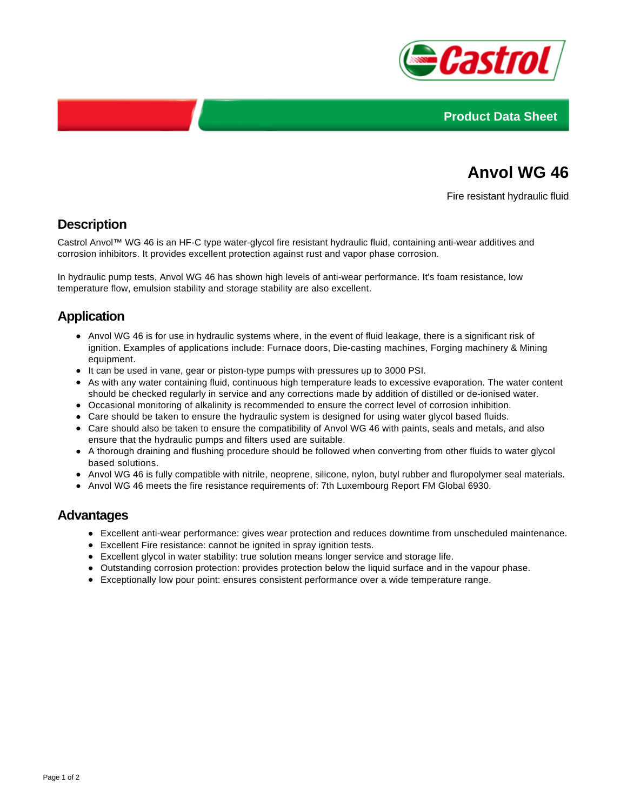



# **Anvol WG 46**

Fire resistant hydraulic fluid

## **Description**

Castrol Anvol™ WG 46 is an HF-C type water-glycol fire resistant hydraulic fluid, containing anti-wear additives and corrosion inhibitors. It provides excellent protection against rust and vapor phase corrosion.

In hydraulic pump tests, Anvol WG 46 has shown high levels of anti-wear performance. It's foam resistance, low temperature flow, emulsion stability and storage stability are also excellent.

## **Application**

- Anvol WG 46 is for use in hydraulic systems where, in the event of fluid leakage, there is a significant risk of ignition. Examples of applications include: Furnace doors, Die-casting machines, Forging machinery & Mining equipment.
- It can be used in vane, gear or piston-type pumps with pressures up to 3000 PSI.
- As with any water containing fluid, continuous high temperature leads to excessive evaporation. The water content should be checked regularly in service and any corrections made by addition of distilled or de-ionised water.
- Occasional monitoring of alkalinity is recommended to ensure the correct level of corrosion inhibition.
- Care should be taken to ensure the hydraulic system is designed for using water glycol based fluids.
- Care should also be taken to ensure the compatibility of Anvol WG 46 with paints, seals and metals, and also ensure that the hydraulic pumps and filters used are suitable.
- A thorough draining and flushing procedure should be followed when converting from other fluids to water glycol based solutions.
- Anvol WG 46 is fully compatible with nitrile, neoprene, silicone, nylon, butyl rubber and fluropolymer seal materials.
- Anvol WG 46 meets the fire resistance requirements of: 7th Luxembourg Report FM Global 6930.

#### **Advantages**

- Excellent anti-wear performance: gives wear protection and reduces downtime from unscheduled maintenance.
- Excellent Fire resistance: cannot be ignited in spray ignition tests.
- Excellent glycol in water stability: true solution means longer service and storage life.
- Outstanding corrosion protection: provides protection below the liquid surface and in the vapour phase.
- Exceptionally low pour point: ensures consistent performance over a wide temperature range.